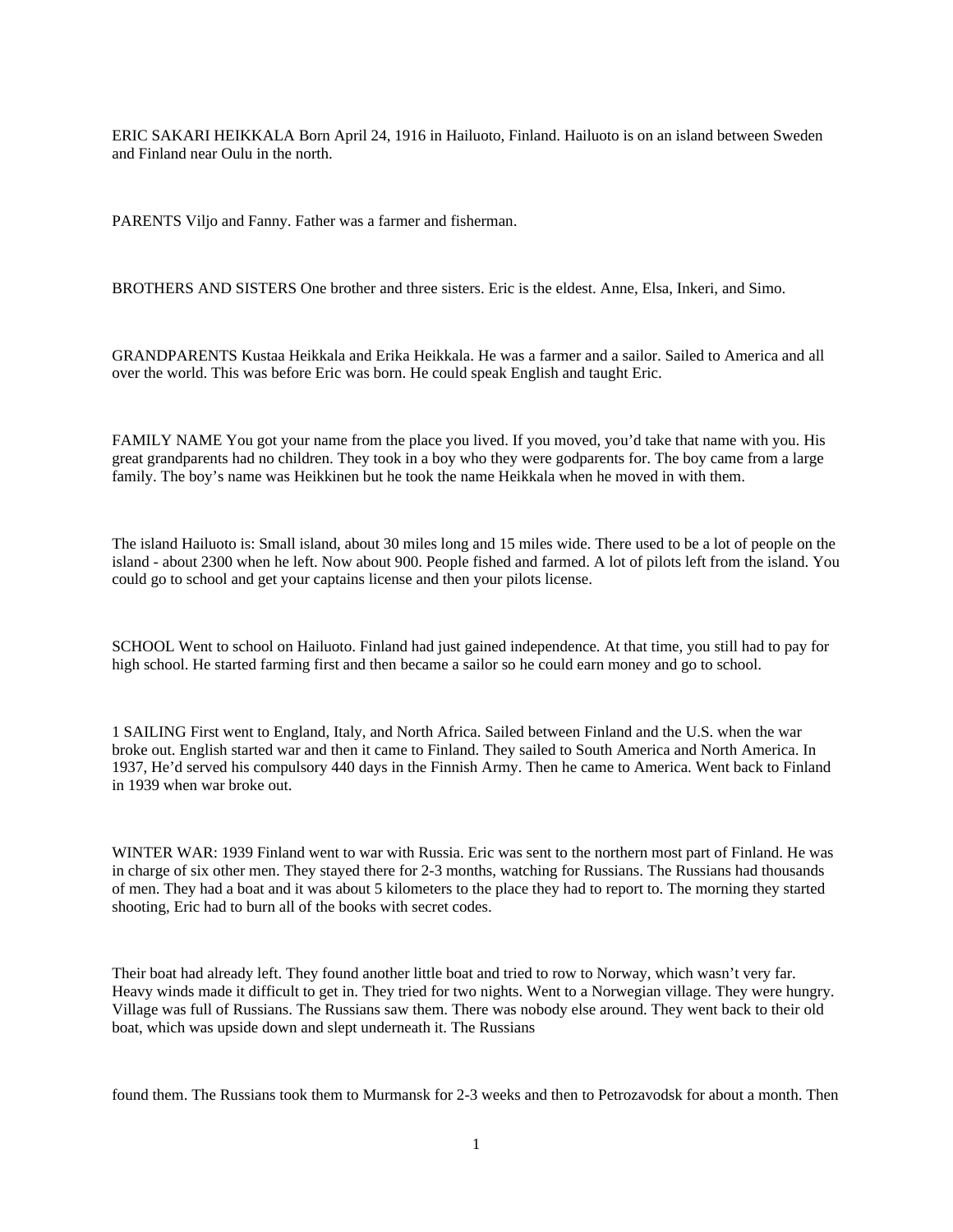ERIC SAKARI HEIKKALA Born April 24, 1916 in Hailuoto, Finland. Hailuoto is on an island between Sweden and Finland near Oulu in the north.

PARENTS Viljo and Fanny. Father was a farmer and fisherman.

BROTHERS AND SISTERS One brother and three sisters. Eric is the eldest. Anne, Elsa, Inkeri, and Simo.

GRANDPARENTS Kustaa Heikkala and Erika Heikkala. He was a farmer and a sailor. Sailed to America and all over the world. This was before Eric was born. He could speak English and taught Eric.

FAMILY NAME You got your name from the place you lived. If you moved, you'd take that name with you. His great grandparents had no children. They took in a boy who they were godparents for. The boy came from a large family. The boy's name was Heikkinen but he took the name Heikkala when he moved in with them.

The island Hailuoto is: Small island, about 30 miles long and 15 miles wide. There used to be a lot of people on the island - about 2300 when he left. Now about 900. People fished and farmed. A lot of pilots left from the island. You could go to school and get your captains license and then your pilots license.

SCHOOL Went to school on Hailuoto. Finland had just gained independence. At that time, you still had to pay for high school. He started farming first and then became a sailor so he could earn money and go to school.

1 SAILING First went to England, Italy, and North Africa. Sailed between Finland and the U.S. when the war broke out. English started war and then it came to Finland. They sailed to South America and North America. In 1937, He'd served his compulsory 440 days in the Finnish Army. Then he came to America. Went back to Finland in 1939 when war broke out.

WINTER WAR: 1939 Finland went to war with Russia. Eric was sent to the northern most part of Finland. He was in charge of six other men. They stayed there for 2-3 months, watching for Russians. The Russians had thousands of men. They had a boat and it was about 5 kilometers to the place they had to report to. The morning they started shooting, Eric had to burn all of the books with secret codes.

Their boat had already left. They found another little boat and tried to row to Norway, which wasn't very far. Heavy winds made it difficult to get in. They tried for two nights. Went to a Norwegian village. They were hungry. Village was full of Russians. The Russians saw them. There was nobody else around. They went back to their old boat, which was upside down and slept underneath it. The Russians

found them. The Russians took them to Murmansk for 2-3 weeks and then to Petrozavodsk for about a month. Then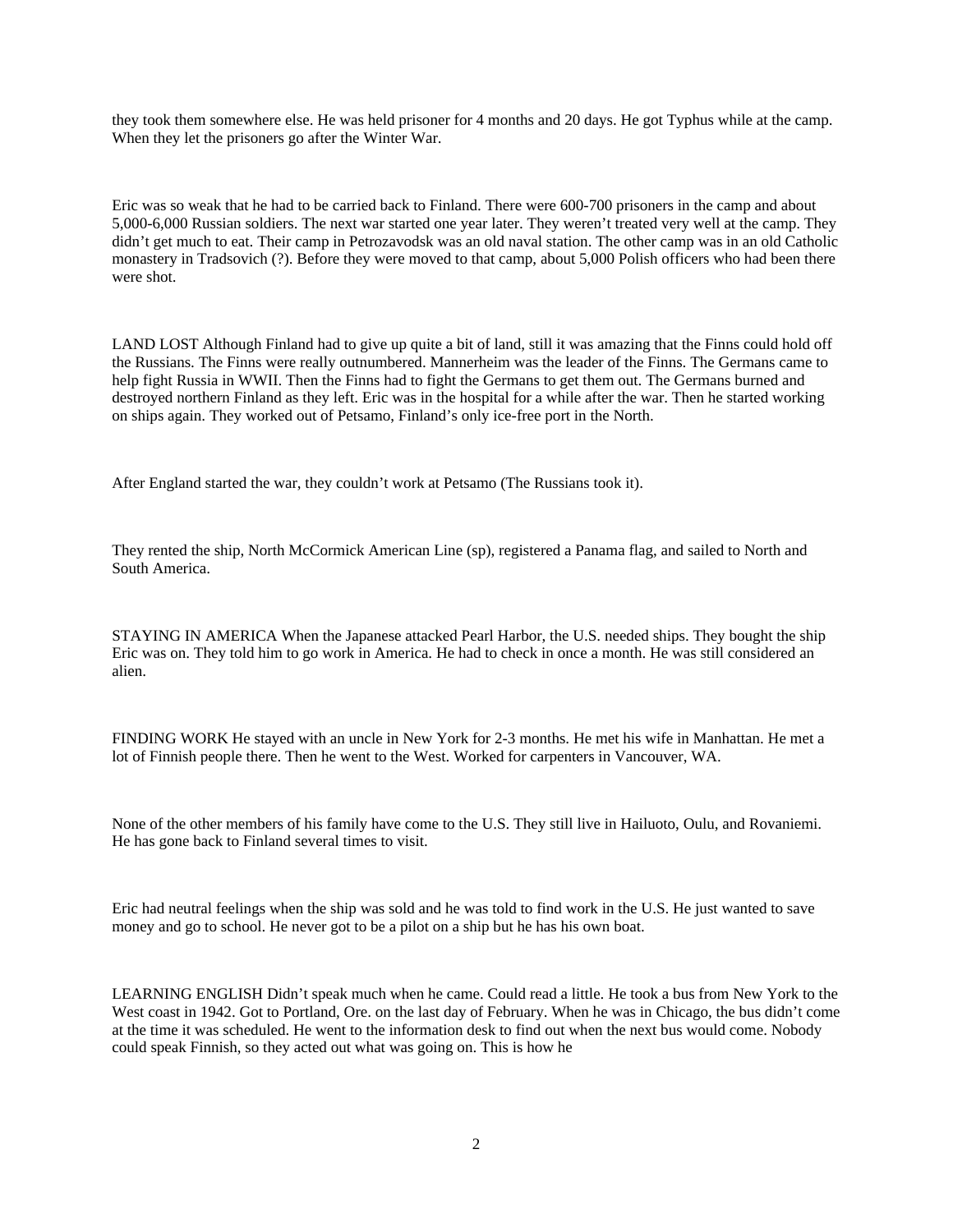they took them somewhere else. He was held prisoner for 4 months and 20 days. He got Typhus while at the camp. When they let the prisoners go after the Winter War.

Eric was so weak that he had to be carried back to Finland. There were 600-700 prisoners in the camp and about 5,000-6,000 Russian soldiers. The next war started one year later. They weren't treated very well at the camp. They didn't get much to eat. Their camp in Petrozavodsk was an old naval station. The other camp was in an old Catholic monastery in Tradsovich (?). Before they were moved to that camp, about 5,000 Polish officers who had been there were shot.

LAND LOST Although Finland had to give up quite a bit of land, still it was amazing that the Finns could hold off the Russians. The Finns were really outnumbered. Mannerheim was the leader of the Finns. The Germans came to help fight Russia in WWII. Then the Finns had to fight the Germans to get them out. The Germans burned and destroyed northern Finland as they left. Eric was in the hospital for a while after the war. Then he started working on ships again. They worked out of Petsamo, Finland's only ice-free port in the North.

After England started the war, they couldn't work at Petsamo (The Russians took it).

They rented the ship, North McCormick American Line (sp), registered a Panama flag, and sailed to North and South America.

STAYING IN AMERICA When the Japanese attacked Pearl Harbor, the U.S. needed ships. They bought the ship Eric was on. They told him to go work in America. He had to check in once a month. He was still considered an alien.

FINDING WORK He stayed with an uncle in New York for 2-3 months. He met his wife in Manhattan. He met a lot of Finnish people there. Then he went to the West. Worked for carpenters in Vancouver, WA.

None of the other members of his family have come to the U.S. They still live in Hailuoto, Oulu, and Rovaniemi. He has gone back to Finland several times to visit.

Eric had neutral feelings when the ship was sold and he was told to find work in the U.S. He just wanted to save money and go to school. He never got to be a pilot on a ship but he has his own boat.

LEARNING ENGLISH Didn't speak much when he came. Could read a little. He took a bus from New York to the West coast in 1942. Got to Portland, Ore. on the last day of February. When he was in Chicago, the bus didn't come at the time it was scheduled. He went to the information desk to find out when the next bus would come. Nobody could speak Finnish, so they acted out what was going on. This is how he